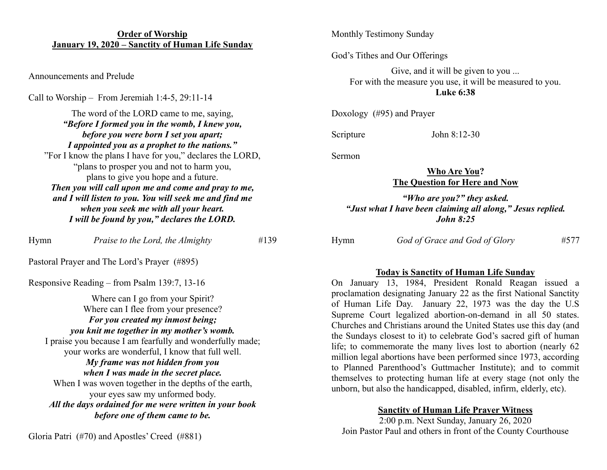### **Order of Worship January 19, 2020 – Sanctity of Human Life Sunday**

Announcements and Prelude

Call to Worship – From Jeremiah 1:4-5, 29:11-14

The word of the LORD came to me, saying, *"Before I formed you in the womb, I knew you, before you were born I set you apart; I appointed you as a prophet to the nations."* "For I know the plans I have for you," declares the LORD, "plans to prosper you and not to harm you, plans to give you hope and a future. *Then you will call upon me and come and pray to me, and I will listen to you. You will seek me and find me when you seek me with all your heart. I will be found by you," declares the LORD.*

Hymn *Praise to the Lord, the Almighty* #139

Pastoral Prayer and The Lord's Prayer (#895)

Responsive Reading – from Psalm 139:7, 13-16

Where can I go from your Spirit? Where can I flee from your presence? *For you created my inmost being; you knit me together in my mother's womb.* I praise you because I am fearfully and wonderfully made; your works are wonderful, I know that full well. *My frame was not hidden from you when I was made in the secret place.* When I was woven together in the depths of the earth, your eyes saw my unformed body. *All the days ordained for me were written in your book before one of them came to be.*

Monthly Testimony Sunday

God's Tithes and Our Offerings

Give, and it will be given to you ... For with the measure you use, it will be measured to you. **Luke 6:38**

Doxology (#95) and Prayer

Scripture John 8:12-30

Sermon

### **Who Are You? The Question for Here and Now**

## *"Who are you?" they asked. "Just what I have been claiming all along," Jesus replied. John 8:25*

Hymn *God of Grace and God of Glory* #577

### **Today is Sanctity of Human Life Sunday**

On January 13, 1984, President Ronald Reagan issued a proclamation designating January 22 as the first National Sanctity of Human Life Day. January 22, 1973 was the day the U.S Supreme Court legalized abortion-on-demand in all 50 states. Churches and Christians around the United States use this day (and the Sundays closest to it) to celebrate God's sacred gift of human life; to commemorate the many lives lost to abortion (nearly 62 million legal abortions have been performed since 1973, according to Planned Parenthood's Guttmacher Institute); and to commit themselves to protecting human life at every stage (not only the unborn, but also the handicapped, disabled, infirm, elderly, etc).

## **Sanctity of Human Life Prayer Witness**

2:00 p.m. Next Sunday, January 26, 2020 Join Pastor Paul and others in front of the County Courthouse